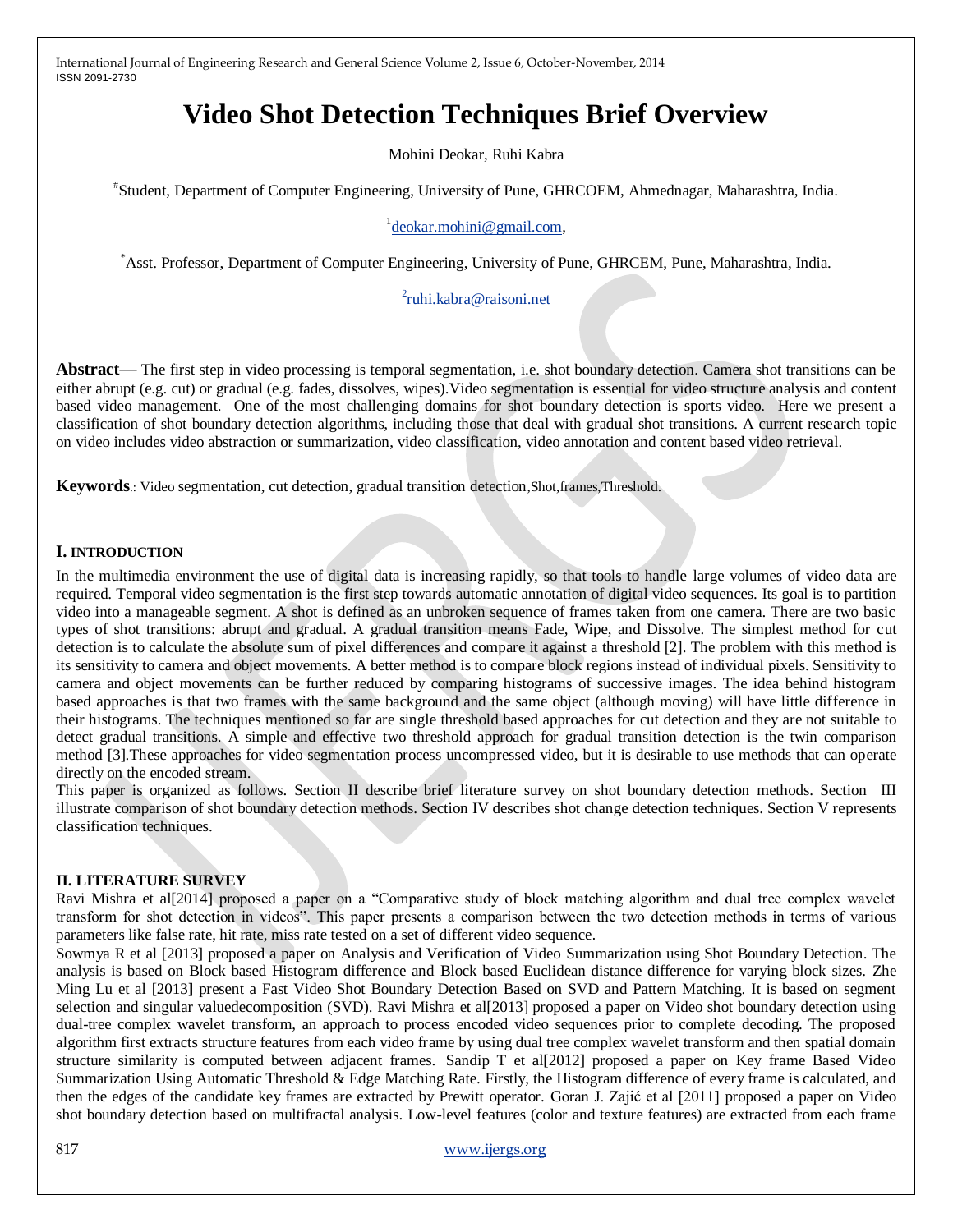# **Video Shot Detection Techniques Brief Overview**

Mohini Deokar, Ruhi Kabra

# Student, Department of Computer Engineering, University of Pune, GHRCOEM, Ahmednagar, Maharashtra, India.

# <sup>1</sup> [deokar.mohini@gmail.com,](mailto:deokar.mohini@gmail.com)

\*Asst. Professor, Department of Computer Engineering, University of Pune, GHRCEM, Pune, Maharashtra, India.

# <sup>2</sup>[ruhi.kabra@raisoni.net](mailto:2ruhi.kabra@raisoni.net)

**Abstract**— The first step in video processing is temporal segmentation, i.e. shot boundary detection. Camera shot transitions can be either abrupt (e.g. cut) or gradual (e.g. fades, dissolves, wipes).Video segmentation is essential for video structure analysis and content based video management. One of the most challenging domains for shot boundary detection is sports video. Here we present a classification of shot boundary detection algorithms, including those that deal with gradual shot transitions. A current research topic on video includes video abstraction or summarization, video classification, video annotation and content based video retrieval.

**Keywords**.: Video segmentation, cut detection, gradual transition detection,Shot,frames,Threshold.

# **I. INTRODUCTION**

In the multimedia environment the use of digital data is increasing rapidly, so that tools to handle large volumes of video data are required. Temporal video segmentation is the first step towards automatic annotation of digital video sequences. Its goal is to partition video into a manageable segment. A shot is defined as an unbroken sequence of frames taken from one camera. There are two basic types of shot transitions: abrupt and gradual. A gradual transition means Fade, Wipe, and Dissolve. The simplest method for cut detection is to calculate the absolute sum of pixel differences and compare it against a threshold [2]. The problem with this method is its sensitivity to camera and object movements. A better method is to compare block regions instead of individual pixels. Sensitivity to camera and object movements can be further reduced by comparing histograms of successive images. The idea behind histogram based approaches is that two frames with the same background and the same object (although moving) will have little difference in their histograms. The techniques mentioned so far are single threshold based approaches for cut detection and they are not suitable to detect gradual transitions. A simple and effective two threshold approach for gradual transition detection is the twin comparison method [3].These approaches for video segmentation process uncompressed video, but it is desirable to use methods that can operate directly on the encoded stream.

This paper is organized as follows. Section II describe brief literature survey on shot boundary detection methods. Section III illustrate comparison of shot boundary detection methods. Section IV describes shot change detection techniques. Section V represents classification techniques.

#### **II. LITERATURE SURVEY**

Ravi Mishra et al[2014] proposed a paper on a "Comparative study of block matching algorithm and dual tree complex wavelet transform for shot detection in videos". This paper presents a comparison between the two detection methods in terms of various parameters like false rate, hit rate, miss rate tested on a set of different video sequence.

Sowmya R et al [2013] proposed a paper on Analysis and Verification of Video Summarization using Shot Boundary Detection. The analysis is based on Block based Histogram difference and Block based Euclidean distance difference for varying block sizes. Zhe Ming Lu et al [2013**]** present a Fast Video Shot Boundary Detection Based on SVD and Pattern Matching. It is based on segment selection and singular valuedecomposition (SVD). Ravi Mishra et al[2013] proposed a paper on Video shot boundary detection using dual-tree complex wavelet transform, an approach to process encoded video sequences prior to complete decoding. The proposed algorithm first extracts structure features from each video frame by using dual tree complex wavelet transform and then spatial domain structure similarity is computed between adjacent frames. Sandip T et al[2012] proposed a paper on Key frame Based Video Summarization Using Automatic Threshold & Edge Matching Rate. Firstly, the Histogram difference of every frame is calculated, and then the edges of the candidate key frames are extracted by Prewitt operator. Goran J. Zajić et al [2011] proposed a paper on Video shot boundary detection based on multifractal analysis. Low-level features (color and texture features) are extracted from each frame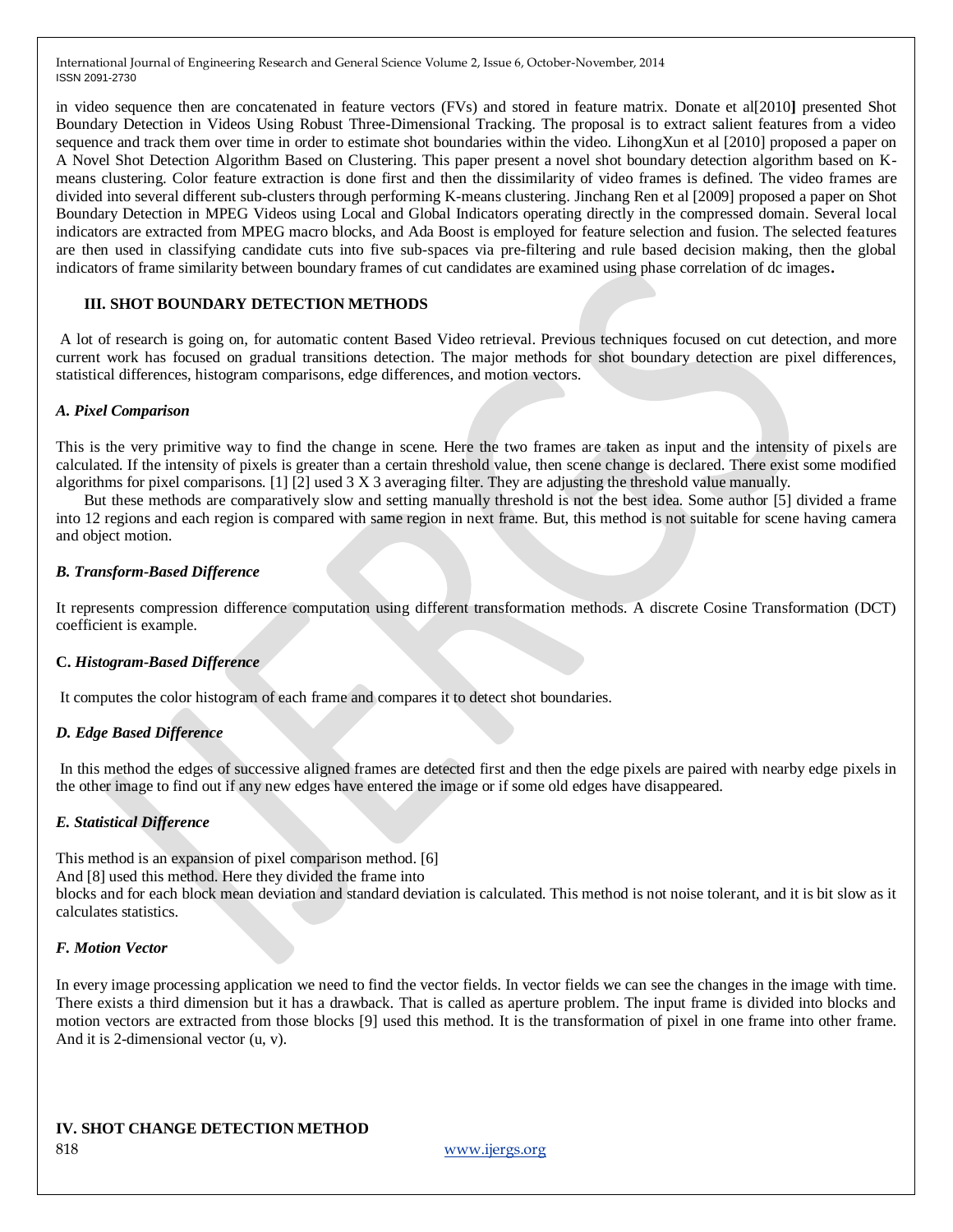in video sequence then are concatenated in feature vectors (FVs) and stored in feature matrix. Donate et al[2010**]** presented Shot Boundary Detection in Videos Using Robust Three-Dimensional Tracking. The proposal is to extract salient features from a video sequence and track them over time in order to estimate shot boundaries within the video. LihongXun et al [2010] proposed a paper on A Novel Shot Detection Algorithm Based on Clustering. This paper present a novel shot boundary detection algorithm based on Kmeans clustering. Color feature extraction is done first and then the dissimilarity of video frames is defined. The video frames are divided into several different sub-clusters through performing K-means clustering. Jinchang Ren et al [2009] proposed a paper on Shot Boundary Detection in MPEG Videos using Local and Global Indicators operating directly in the compressed domain. Several local indicators are extracted from MPEG macro blocks, and Ada Boost is employed for feature selection and fusion. The selected features are then used in classifying candidate cuts into five sub-spaces via pre-filtering and rule based decision making, then the global indicators of frame similarity between boundary frames of cut candidates are examined using phase correlation of dc images**.**

#### **III. SHOT BOUNDARY DETECTION METHODS**

A lot of research is going on, for automatic content Based Video retrieval. Previous techniques focused on cut detection, and more current work has focused on gradual transitions detection. The major methods for shot boundary detection are pixel differences, statistical differences, histogram comparisons, edge differences, and motion vectors.

#### *A. Pixel Comparison*

This is the very primitive way to find the change in scene. Here the two frames are taken as input and the intensity of pixels are calculated. If the intensity of pixels is greater than a certain threshold value, then scene change is declared. There exist some modified algorithms for pixel comparisons. [1] [2] used 3 X 3 averaging filter. They are adjusting the threshold value manually.

But these methods are comparatively slow and setting manually threshold is not the best idea. Some author [5] divided a frame into 12 regions and each region is compared with same region in next frame. But, this method is not suitable for scene having camera and object motion.

#### *B. Transform-Based Difference*

It represents compression difference computation using different transformation methods. A discrete Cosine Transformation (DCT) coefficient is example.

#### **C.** *Histogram-Based Difference*

It computes the color histogram of each frame and compares it to detect shot boundaries.

#### *D. Edge Based Difference*

In this method the edges of successive aligned frames are detected first and then the edge pixels are paired with nearby edge pixels in the other image to find out if any new edges have entered the image or if some old edges have disappeared.

#### *E. Statistical Difference*

This method is an expansion of pixel comparison method. [6]

And [8] used this method. Here they divided the frame into

blocks and for each block mean deviation and standard deviation is calculated. This method is not noise tolerant, and it is bit slow as it calculates statistics.

#### *F. Motion Vector*

In every image processing application we need to find the vector fields. In vector fields we can see the changes in the image with time. There exists a third dimension but it has a drawback. That is called as aperture problem. The input frame is divided into blocks and motion vectors are extracted from those blocks [9] used this method. It is the transformation of pixel in one frame into other frame. And it is 2-dimensional vector (u, v).

# **IV. SHOT CHANGE DETECTION METHOD**

818 www.ijergs.org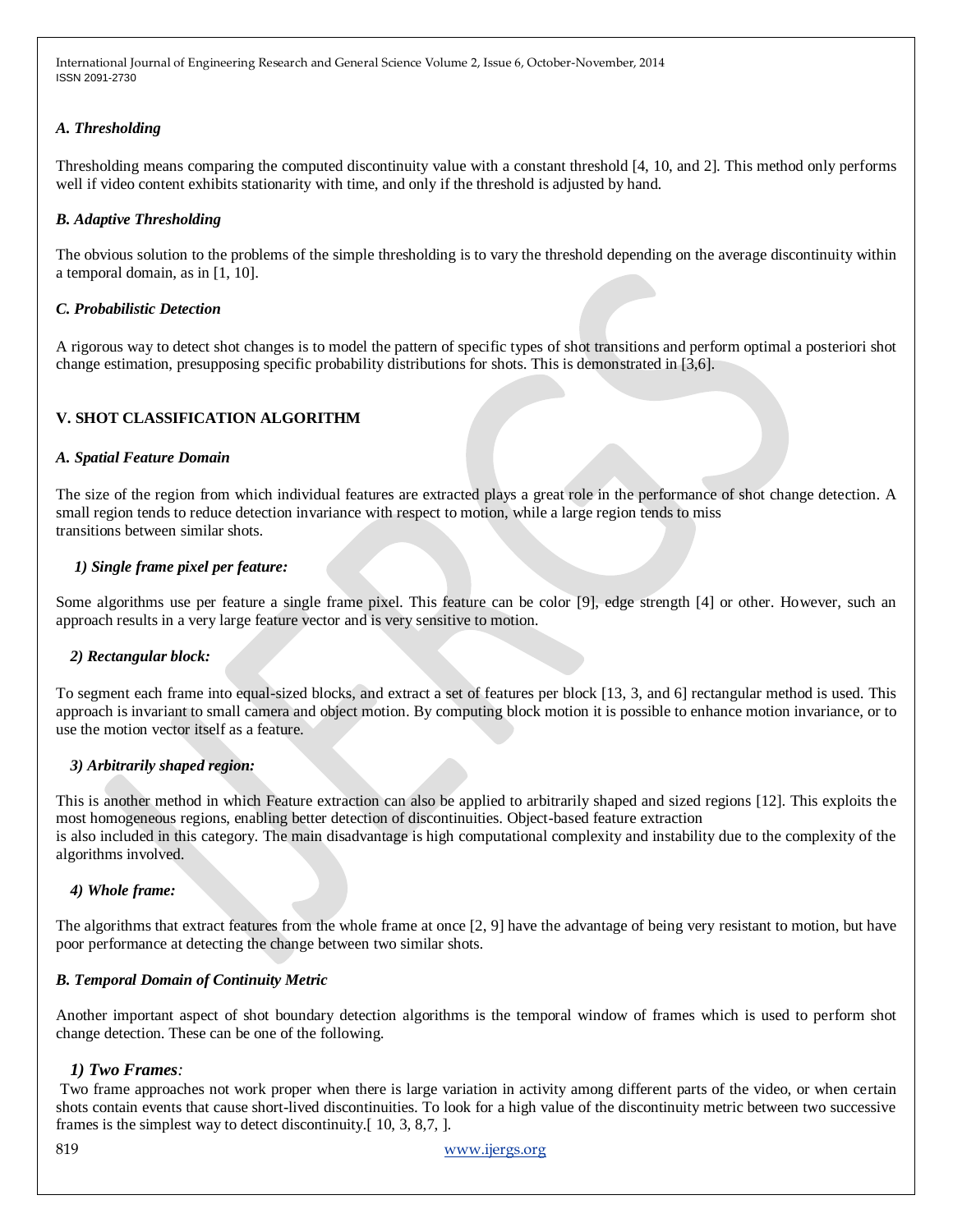# *A. Thresholding*

Thresholding means comparing the computed discontinuity value with a constant threshold [4, 10, and 2]. This method only performs well if video content exhibits stationarity with time, and only if the threshold is adjusted by hand.

#### *B. Adaptive Thresholding*

The obvious solution to the problems of the simple thresholding is to vary the threshold depending on the average discontinuity within a temporal domain, as in [1, 10].

#### *C. Probabilistic Detection*

A rigorous way to detect shot changes is to model the pattern of specific types of shot transitions and perform optimal a posteriori shot change estimation, presupposing specific probability distributions for shots. This is demonstrated in [3,6].

# **V. SHOT CLASSIFICATION ALGORITHM**

# *A. Spatial Feature Domain*

The size of the region from which individual features are extracted plays a great role in the performance of shot change detection. A small region tends to reduce detection invariance with respect to motion, while a large region tends to miss transitions between similar shots.

# *1) Single frame pixel per feature:*

Some algorithms use per feature a single frame pixel. This feature can be color [9], edge strength [4] or other. However, such an approach results in a very large feature vector and is very sensitive to motion.

#### *2) Rectangular block:*

To segment each frame into equal-sized blocks, and extract a set of features per block [13, 3, and 6] rectangular method is used. This approach is invariant to small camera and object motion. By computing block motion it is possible to enhance motion invariance, or to use the motion vector itself as a feature.

#### *3) Arbitrarily shaped region:*

This is another method in which Feature extraction can also be applied to arbitrarily shaped and sized regions [12]. This exploits the most homogeneous regions, enabling better detection of discontinuities. Object-based feature extraction is also included in this category. The main disadvantage is high computational complexity and instability due to the complexity of the algorithms involved.

#### *4) Whole frame:*

The algorithms that extract features from the whole frame at once [2, 9] have the advantage of being very resistant to motion, but have poor performance at detecting the change between two similar shots.

#### *B. Temporal Domain of Continuity Metric*

Another important aspect of shot boundary detection algorithms is the temporal window of frames which is used to perform shot change detection. These can be one of the following.

# *1) Two Frames:*

Two frame approaches not work proper when there is large variation in activity among different parts of the video, or when certain shots contain events that cause short-lived discontinuities. To look for a high value of the discontinuity metric between two successive frames is the simplest way to detect discontinuity.[ 10, 3, 8,7, ].